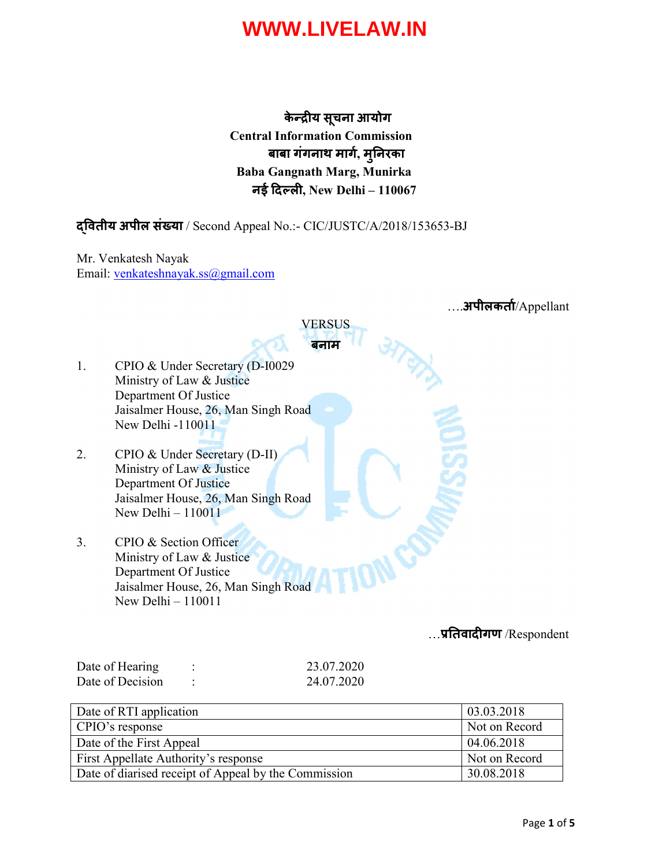केन्द्रीय सूचना आयोग Central Information Commission बाबा गंगनाथ माग, मुनरका Baba Gangnath Marg, Munirka नई दिल्ली, New Delhi - 110067

### वतीय अपील संया / Second Appeal No.:- CIC/JUSTC/A/2018/153653-BJ

Mr. Venkatesh Nayak Email: venkateshnayak.ss@gmail.com

|    | .अपीलकर्ता/Appellant                |
|----|-------------------------------------|
|    | VERSUS                              |
|    | बनाम                                |
| 1. | CPIO & Under Secretary (D-I0029)    |
|    | Ministry of Law & Justice           |
|    | Department Of Justice               |
|    | Jaisalmer House, 26, Man Singh Road |
|    | New Delhi -110011                   |
|    |                                     |
| 2. | CPIO & Under Secretary (D-II)       |
|    | Ministry of Law & Justice           |
|    | Department Of Justice               |
|    | Jaisalmer House, 26, Man Singh Road |
|    | New Delhi $-110011$                 |
|    |                                     |
| 3. | CPIO & Section Officer              |
|    | Ministry of Law & Justice           |
|    | Department Of Justice               |
|    | Jaisalmer House, 26, Man Singh Road |
|    | New Delhi $-110011$                 |
|    | प्रतिवादीगण /Respondent             |

| Date of Hearing  | 23.07.2020 |
|------------------|------------|
| Date of Decision | 24.07.2020 |

| Date of RTI application                              | 03.03.2018    |
|------------------------------------------------------|---------------|
| CPIO's response                                      | Not on Record |
| Date of the First Appeal                             | 04.06.2018    |
| First Appellate Authority's response                 | Not on Record |
| Date of diarised receipt of Appeal by the Commission | 30.08.2018    |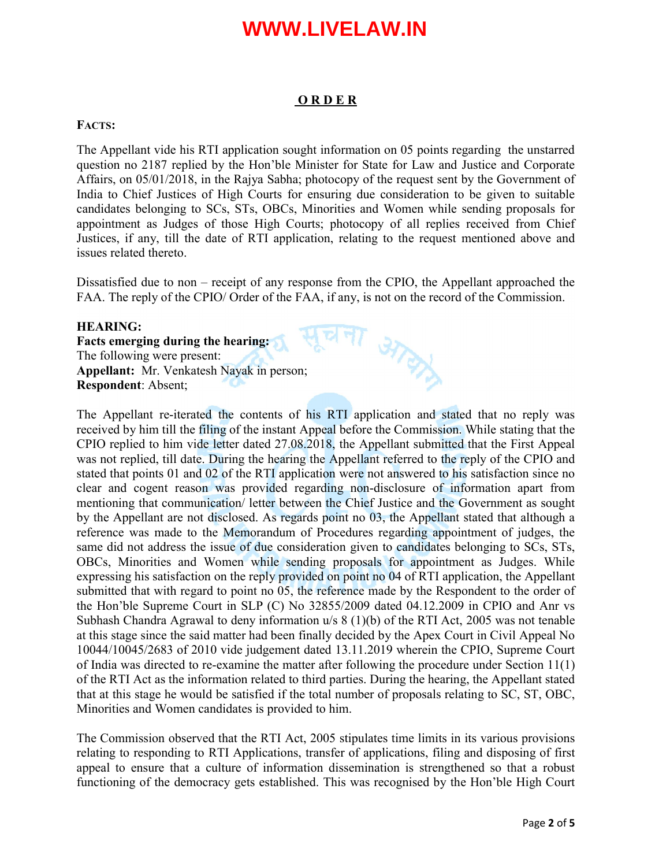#### O R D E R

#### FACTS:

The Appellant vide his RTI application sought information on 05 points regarding the unstarred question no 2187 replied by the Hon'ble Minister for State for Law and Justice and Corporate Affairs, on 05/01/2018, in the Rajya Sabha; photocopy of the request sent by the Government of India to Chief Justices of High Courts for ensuring due consideration to be given to suitable candidates belonging to SCs, STs, OBCs, Minorities and Women while sending proposals for appointment as Judges of those High Courts; photocopy of all replies received from Chief Justices, if any, till the date of RTI application, relating to the request mentioned above and issues related thereto.

Dissatisfied due to non – receipt of any response from the CPIO, the Appellant approached the FAA. The reply of the CPIO/ Order of the FAA, if any, is not on the record of the Commission.

**GITCHIA** 

#### HEARING:

Facts emerging during the hearing: The following were present: Appellant: Mr. Venkatesh Nayak in person; Respondent: Absent;

The Appellant re-iterated the contents of his RTI application and stated that no reply was received by him till the filing of the instant Appeal before the Commission. While stating that the CPIO replied to him vide letter dated 27.08.2018, the Appellant submitted that the First Appeal was not replied, till date. During the hearing the Appellant referred to the reply of the CPIO and stated that points 01 and 02 of the RTI application were not answered to his satisfaction since no clear and cogent reason was provided regarding non-disclosure of information apart from mentioning that communication/ letter between the Chief Justice and the Government as sought by the Appellant are not disclosed. As regards point no 03, the Appellant stated that although a reference was made to the Memorandum of Procedures regarding appointment of judges, the same did not address the issue of due consideration given to candidates belonging to SCs, STs, OBCs, Minorities and Women while sending proposals for appointment as Judges. While expressing his satisfaction on the reply provided on point no 04 of RTI application, the Appellant submitted that with regard to point no 05, the reference made by the Respondent to the order of the Hon'ble Supreme Court in SLP (C) No 32855/2009 dated 04.12.2009 in CPIO and Anr vs Subhash Chandra Agrawal to deny information u/s 8 (1)(b) of the RTI Act, 2005 was not tenable at this stage since the said matter had been finally decided by the Apex Court in Civil Appeal No 10044/10045/2683 of 2010 vide judgement dated 13.11.2019 wherein the CPIO, Supreme Court of India was directed to re-examine the matter after following the procedure under Section 11(1) of the RTI Act as the information related to third parties. During the hearing, the Appellant stated that at this stage he would be satisfied if the total number of proposals relating to SC, ST, OBC, Minorities and Women candidates is provided to him.

The Commission observed that the RTI Act, 2005 stipulates time limits in its various provisions relating to responding to RTI Applications, transfer of applications, filing and disposing of first appeal to ensure that a culture of information dissemination is strengthened so that a robust functioning of the democracy gets established. This was recognised by the Hon'ble High Court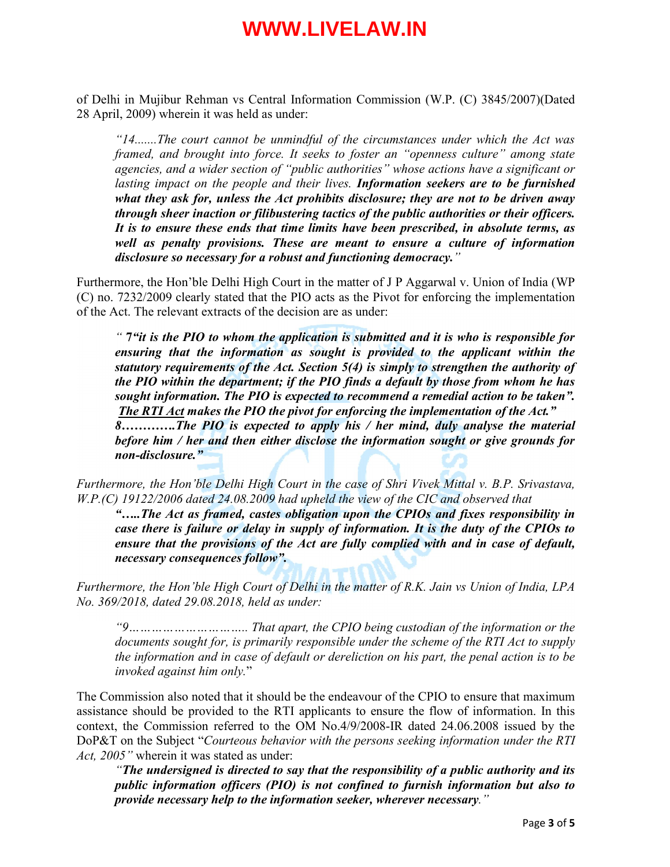of Delhi in Mujibur Rehman vs Central Information Commission (W.P. (C) 3845/2007)(Dated 28 April, 2009) wherein it was held as under:

*"14.......The court cannot be unmindful of the circumstances under which the Act was framed, and brought into force. It seeks to foster an "openness culture" among state agencies, and a wider section of "public authorities" whose actions have a significant or lasting impact on the people and their lives. Information seekers are to be furnished what they ask for, unless the Act prohibits disclosure; they are not to be driven away through sheer inaction or filibustering tactics of the public authorities or their officers. It is to ensure these ends that time limits have been prescribed, in absolute terms, as well as penalty provisions. These are meant to ensure a culture of information disclosure so necessary for a robust and functioning democracy."* 

Furthermore, the Hon'ble Delhi High Court in the matter of J P Aggarwal v. Union of India (WP (C) no. 7232/2009 clearly stated that the PIO acts as the Pivot for enforcing the implementation of the Act. The relevant extracts of the decision are as under:

*"* 7*"it is the PIO to whom the application is submitted and it is who is responsible for ensuring that the information as sought is provided to the applicant within the statutory requirements of the Act. Section 5(4) is simply to strengthen the authority of the PIO within the department; if the PIO finds a default by those from whom he has sought information. The PIO is expected to recommend a remedial action to be taken". The RTI Act makes the PIO the pivot for enforcing the implementation of the Act." 8………….The PIO is expected to apply his / her mind, duly analyse the material* 

*before him / her and then either disclose the information sought or give grounds for non-disclosure."*

*Furthermore, the Hon'ble Delhi High Court in the case of Shri Vivek Mittal v. B.P. Srivastava, W.P.(C) 19122/2006 dated 24.08.2009 had upheld the view of the CIC and observed that*

*"…..The Act as framed, castes obligation upon the CPIOs and fixes responsibility in case there is failure or delay in supply of information. It is the duty of the CPIOs to ensure that the provisions of the Act are fully complied with and in case of default, necessary consequences follow".*

*Furthermore, the Hon'ble High Court of Delhi in the matter of R.K. Jain vs Union of India, LPA No. 369/2018, dated 29.08.2018, held as under:*

*"9………………………….. That apart, the CPIO being custodian of the information or the documents sought for, is primarily responsible under the scheme of the RTI Act to supply the information and in case of default or dereliction on his part, the penal action is to be invoked against him only.*"

The Commission also noted that it should be the endeavour of the CPIO to ensure that maximum assistance should be provided to the RTI applicants to ensure the flow of information. In this context, the Commission referred to the OM No.4/9/2008-IR dated 24.06.2008 issued by the DoP&T on the Subject "*Courteous behavior with the persons seeking information under the RTI Act, 2005"* wherein it was stated as under:

*"The undersigned is directed to say that the responsibility of a public authority and its public information officers (PIO) is not confined to furnish information but also to provide necessary help to the information seeker, wherever necessary."*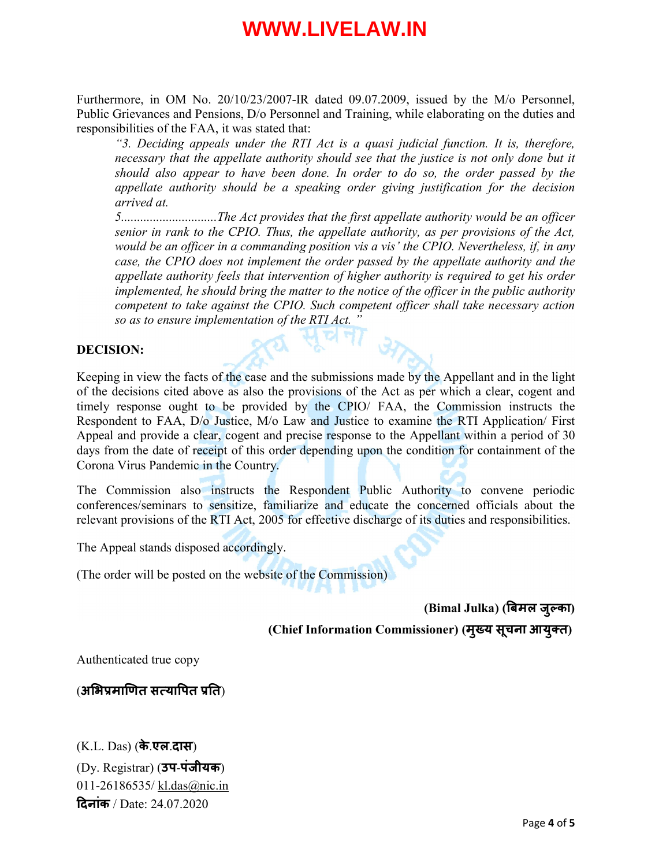Furthermore, in OM No. 20/10/23/2007-IR dated 09.07.2009, issued by the M/o Personnel, Public Grievances and Pensions, D/o Personnel and Training, while elaborating on the duties and responsibilities of the FAA, it was stated that:

*"3. Deciding appeals under the RTI Act is a quasi judicial function. It is, therefore, necessary that the appellate authority should see that the justice is not only done but it should also appear to have been done. In order to do so, the order passed by the appellate authority should be a speaking order giving justification for the decision arrived at.*

*5..............................The Act provides that the first appellate authority would be an officer senior in rank to the CPIO. Thus, the appellate authority, as per provisions of the Act, would be an officer in a commanding position vis a vis' the CPIO. Nevertheless, if, in any case, the CPIO does not implement the order passed by the appellate authority and the appellate authority feels that intervention of higher authority is required to get his order implemented, he should bring the matter to the notice of the officer in the public authority competent to take against the CPIO. Such competent officer shall take necessary action so as to ensure implementation of the RTI Act. "*

#### DECISION:

Keeping in view the facts of the case and the submissions made by the Appellant and in the light of the decisions cited above as also the provisions of the Act as per which a clear, cogent and timely response ought to be provided by the CPIO/ FAA, the Commission instructs the Respondent to FAA, D/o Justice, M/o Law and Justice to examine the RTI Application/ First Appeal and provide a clear, cogent and precise response to the Appellant within a period of 30 days from the date of receipt of this order depending upon the condition for containment of the Corona Virus Pandemic in the Country.

The Commission also instructs the Respondent Public Authority to convene periodic conferences/seminars to sensitize, familiarize and educate the concerned officials about the relevant provisions of the RTI Act, 2005 for effective discharge of its duties and responsibilities.

The Appeal stands disposed accordingly.

(The order will be posted on the website of the Commission)

(Bimal Julka) (बमल जु का)

(Chief Information Commissioner) (मुख्य सूचना आयुक्त)

Authenticated true copy

(अभिप्रमाणित सत्यापित प्रति)

(K.L. Das) (के.एल.दास) (Dy. Registrar) (उप-[पंजीयक](mailto:kl.das@nic.in)) 011-26186535/ kl.das@nic.in दनांक / Date: 24.07.2020